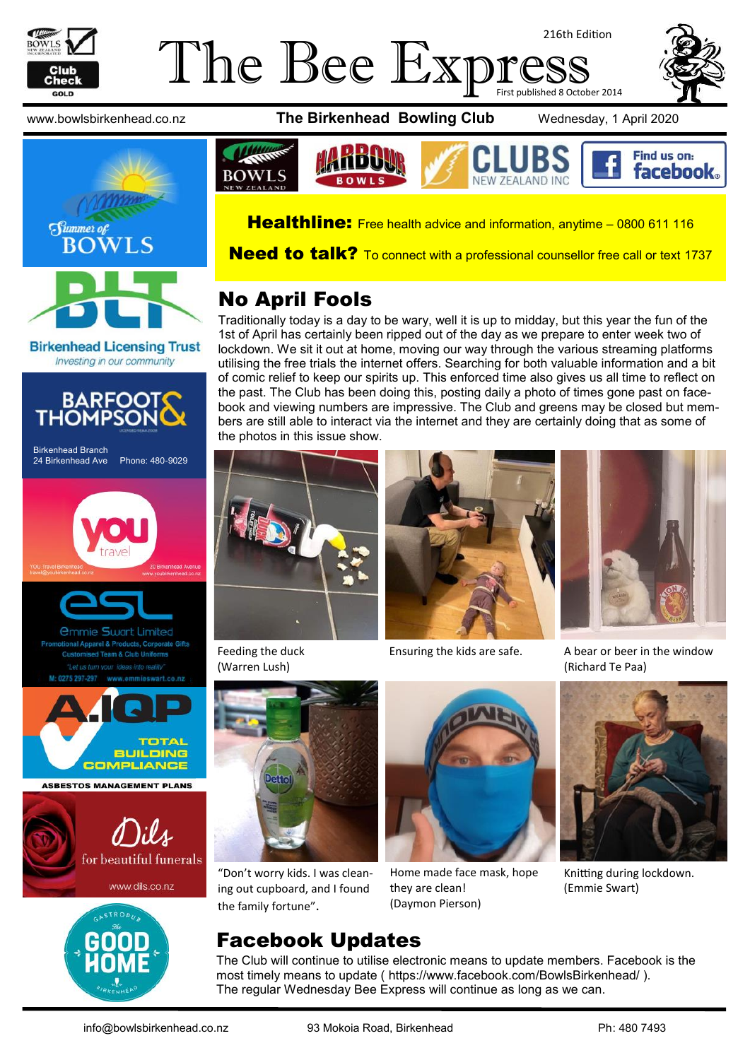

#### The Bee Expre 216th Edition First published 8 October 2014





**Birkenhead Licensing Trust** Investing in our community



www.bowlsbirkenhead.co.nz **The Birkenhead Bowling Club** Wednesday, 1 April 2020





Healthline: Free health advice and information, anytime - [0800 611 116](tel:0800611116)

**Need to talk?** To connect with a professional counsellor free call or text [1737](sms:1737)

# No April Fools

Traditionally today is a day to be wary, well it is up to midday, but this year the fun of the 1st of April has certainly been ripped out of the day as we prepare to enter week two of lockdown. We sit it out at home, moving our way through the various streaming platforms utilising the free trials the internet offers. Searching for both valuable information and a bit of comic relief to keep our spirits up. This enforced time also gives us all time to reflect on the past. The Club has been doing this, posting daily a photo of times gone past on facebook and viewing numbers are impressive. The Club and greens may be closed but members are still able to interact via the internet and they are certainly doing that as some of the photos in this issue show.



Feeding the duck (Warren Lush)



"Don't worry kids. I was cleaning out cupboard, and I found the family fortune".



Home made face mask, hope they are clean! (Daymon Pierson)



Ensuring the kids are safe. A bear or beer in the window (Richard Te Paa)



Knitting during lockdown. (Emmie Swart)

The Club will continue to utilise electronic means to update members. Facebook is the most timely means to update ( [https://www.facebook.com/BowlsBirkenhead/ \)](https://www.facebook.com/BowlsBirkenhead/). The regular Wednesday Bee Express will continue as long as we can.